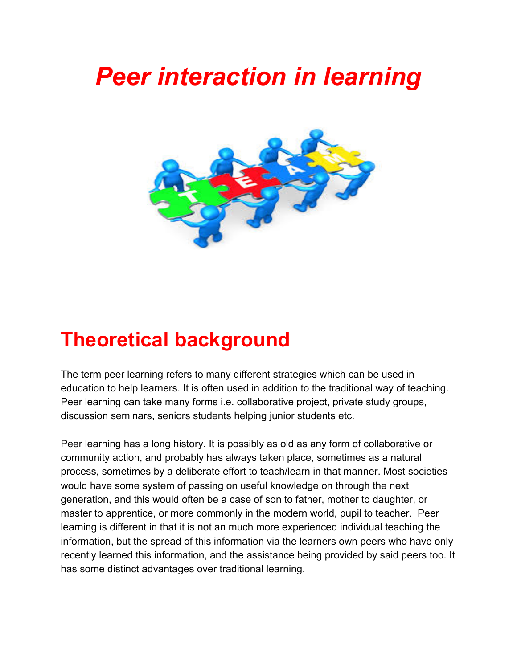# *Peer interaction in learning*



# **Theoretical background**

The term peer learning refers to many different strategies which can be used in education to help learners. It is often used in addition to the traditional way of teaching. Peer learning can take many forms i.e. collaborative project, private study groups, discussion seminars, seniors students helping junior students etc.

Peer learning has a long history. It is possibly as old as any form of collaborative or community action, and probably has always taken place, sometimes as a natural process, sometimes by a deliberate effort to teach/learn in that manner. Most societies would have some system of passing on useful knowledge on through the next generation, and this would often be a case of son to father, mother to daughter, or master to apprentice, or more commonly in the modern world, pupil to teacher. Peer learning is different in that it is not an much more experienced individual teaching the information, but the spread of this information via the learners own peers who have only recently learned this information, and the assistance being provided by said peers too. It has some distinct advantages over traditional learning.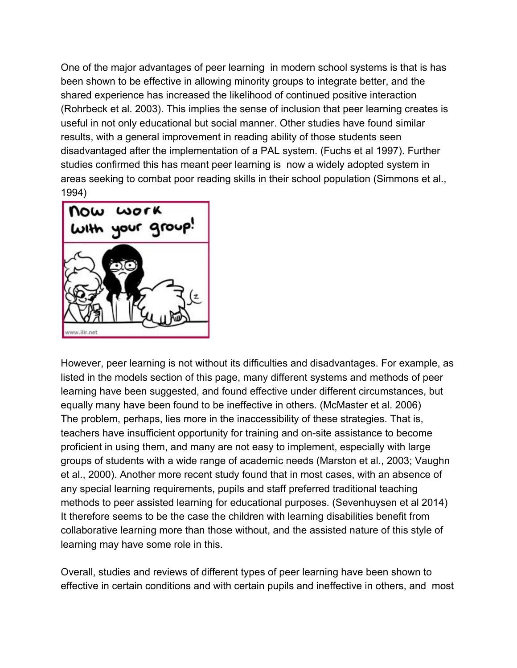One of the major advantages of peer learning in modern school systems is that is has been shown to be effective in allowing minority groups to integrate better, and the shared experience has increased the likelihood of continued positive interaction (Rohrbeck et al. 2003). This implies the sense of inclusion that peer learning creates is useful in not only educational but social manner. Other studies have found similar results, with a general improvement in reading ability of those students seen disadvantaged after the implementation of a PAL system. (Fuchs et al 1997). Further studies confirmed this has meant peer learning is now a widely adopted system in areas seeking to combat poor reading skills in their school population (Simmons et al., 1994)



However, peer learning is not without its difficulties and disadvantages. For example, as listed in the models section of this page, many different systems and methods of peer learning have been suggested, and found effective under different circumstances, but equally many have been found to be ineffective in others. (McMaster et al. 2006) The problem, perhaps, lies more in the inaccessibility of these strategies. That is, teachers have insufficient opportunity for training and on-site assistance to become proficient in using them, and many are not easy to implement, especially with large groups of students with a wide range of academic needs (Marston et al., 2003; Vaughn et al., 2000). Another more recent study found that in most cases, with an absence of any special learning requirements, pupils and staff preferred traditional teaching methods to peer assisted learning for educational purposes. (Sevenhuysen et al 2014) It therefore seems to be the case the children with learning disabilities benefit from collaborative learning more than those without, and the assisted nature of this style of learning may have some role in this.

Overall, studies and reviews of different types of peer learning have been shown to effective in certain conditions and with certain pupils and ineffective in others, and most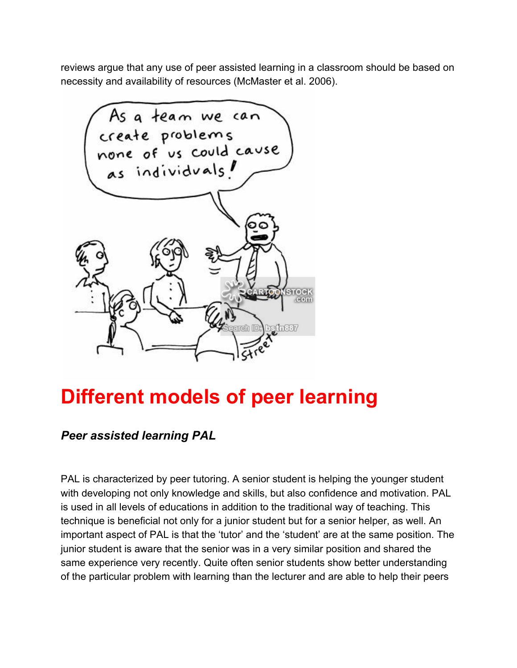reviews argue that any use of peer assisted learning in a classroom should be based on necessity and availability of resources (McMaster et al. 2006).



# **Different models of peer learning**

### *Peer assisted learning PAL*

PAL is characterized by peer tutoring. A senior student is helping the younger student with developing not only knowledge and skills, but also confidence and motivation. PAL is used in all levels of educations in addition to the traditional way of teaching. This technique is beneficial not only for a junior student but for a senior helper, as well. An important aspect of PAL is that the 'tutor' and the 'student' are at the same position. The junior student is aware that the senior was in a very similar position and shared the same experience very recently. Quite often senior students show better understanding of the particular problem with learning than the lecturer and are able to help their peers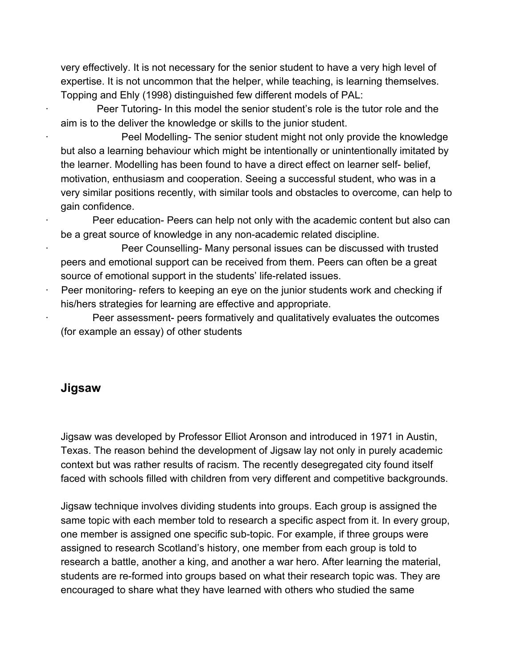very effectively. It is not necessary for the senior student to have a very high level of expertise. It is not uncommon that the helper, while teaching, is learning themselves. Topping and Ehly (1998) distinguished few different models of PAL:

Peer Tutoring- In this model the senior student's role is the tutor role and the aim is to the deliver the knowledge or skills to the junior student.

Peel Modelling- The senior student might not only provide the knowledge but also a learning behaviour which might be intentionally or unintentionally imitated by the learner. Modelling has been found to have a direct effect on learner self- belief, motivation, enthusiasm and cooperation. Seeing a successful student, who was in a very similar positions recently, with similar tools and obstacles to overcome, can help to gain confidence.

∙ Peer education Peers can help not only with the academic content but also can be a great source of knowledge in any non-academic related discipline.

Peer Counselling- Many personal issues can be discussed with trusted peers and emotional support can be received from them. Peers can often be a great source of emotional support in the students' life-related issues.

Peer monitoring- refers to keeping an eye on the junior students work and checking if his/hers strategies for learning are effective and appropriate.

Peer assessment- peers formatively and qualitatively evaluates the outcomes (for example an essay) of other students

#### **Jigsaw**

Jigsaw was developed by Professor Elliot Aronson and introduced in 1971 in Austin, Texas. The reason behind the development of Jigsaw lay not only in purely academic context but was rather results of racism. The recently desegregated city found itself faced with schools filled with children from very different and competitive backgrounds.

Jigsaw technique involves dividing students into groups. Each group is assigned the same topic with each member told to research a specific aspect from it. In every group, one member is assigned one specific sub-topic. For example, if three groups were assigned to research Scotland's history, one member from each group is told to research a battle, another a king, and another a war hero. After learning the material, students are re-formed into groups based on what their research topic was. They are encouraged to share what they have learned with others who studied the same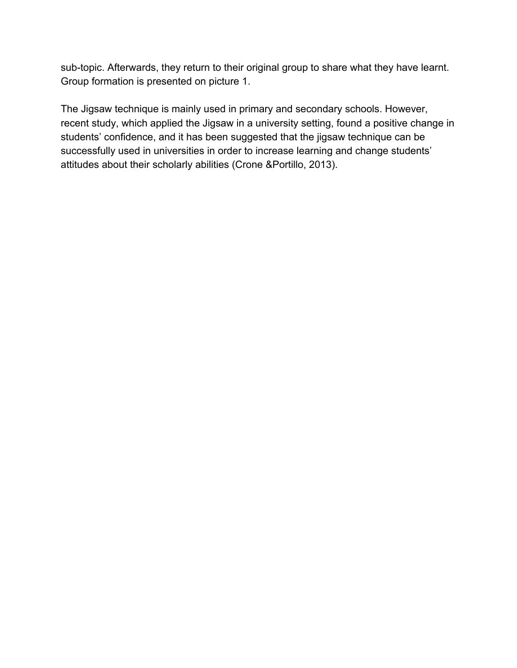sub-topic. Afterwards, they return to their original group to share what they have learnt. Group formation is presented on picture 1.

The Jigsaw technique is mainly used in primary and secondary schools. However, recent study, which applied the Jigsaw in a university setting, found a positive change in students' confidence, and it has been suggested that the jigsaw technique can be successfully used in universities in order to increase learning and change students' attitudes about their scholarly abilities (Crone &Portillo, 2013).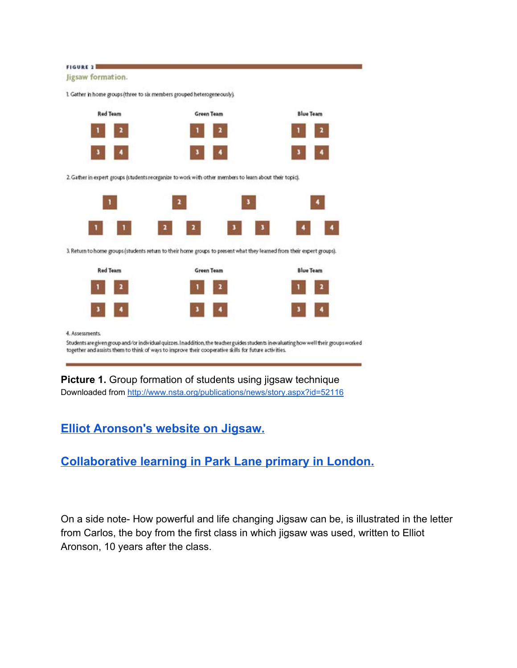

**Picture 1.** Group formation of students using jigsaw technique Downloaded from <http://www.nsta.org/publications/news/story.aspx?id=52116>

### **Elliot [Aronson's](https://www.jigsaw.org/) website on Jigsaw.**

## **[Collaborative](http://search.alexanderstreet.com/view/work/1742724) learning in Park Lane primary in London.**

On a side note-How powerful and life changing Jigsaw can be, is illustrated in the letter from Carlos, the boy from the first class in which jigsaw was used, written to Elliot Aronson, 10 years after the class.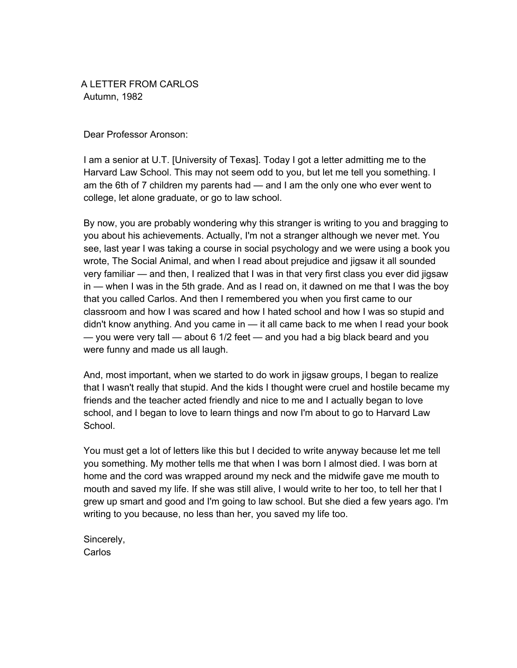A LETTER FROM CARLOS Autumn, 1982

Dear Professor Aronson:

I am a senior at U.T. [University of Texas]. Today I got a letter admitting me to the Harvard Law School. This may not seem odd to you, but let me tell you something. I am the 6th of 7 children my parents had — and I am the only one who ever went to college, let alone graduate, or go to law school.

By now, you are probably wondering why this stranger is writing to you and bragging to you about his achievements. Actually, I'm not a stranger although we never met. You see, last year I was taking a course in social psychology and we were using a book you wrote, The Social Animal, and when I read about prejudice and jigsaw it all sounded very familiar — and then, I realized that I was in that very first class you ever did jigsaw in — when I was in the 5th grade. And as I read on, it dawned on me that I was the boy that you called Carlos. And then I remembered you when you first came to our classroom and how I was scared and how I hated school and how I was so stupid and didn't know anything. And you came in — it all came back to me when I read your book — you were very tall — about 6 1/2 feet — and you had a big black beard and you were funny and made us all laugh.

And, most important, when we started to do work in jigsaw groups, I began to realize that I wasn't really that stupid. And the kids I thought were cruel and hostile became my friends and the teacher acted friendly and nice to me and I actually began to love school, and I began to love to learn things and now I'm about to go to Harvard Law School.

You must get a lot of letters like this but I decided to write anyway because let me tell you something. My mother tells me that when I was born I almost died. I was born at home and the cord was wrapped around my neck and the midwife gave me mouth to mouth and saved my life. If she was still alive, I would write to her too, to tell her that I grew up smart and good and I'm going to law school. But she died a few years ago. I'm writing to you because, no less than her, you saved my life too.

Sincerely, **Carlos**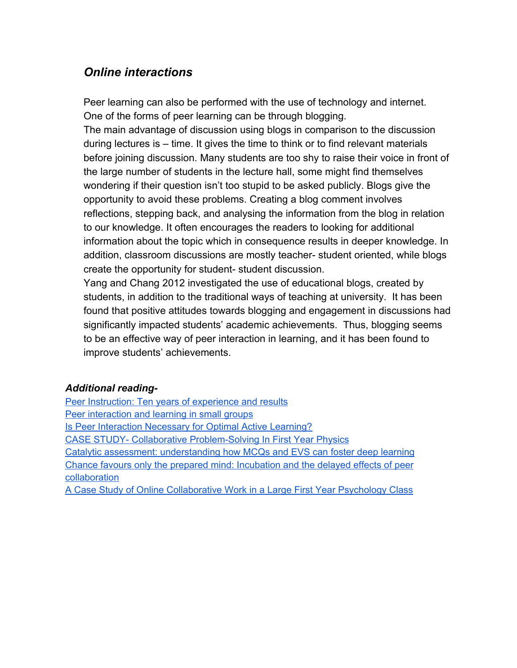#### *Online interactions*

Peer learning can also be performed with the use of technology and internet. One of the forms of peer learning can be through blogging.

The main advantage of discussion using blogs in comparison to the discussion during lectures is – time. It gives the time to think or to find relevant materials before joining discussion. Many students are too shy to raise their voice in front of the large number of students in the lecture hall, some might find themselves wondering if their question isn't too stupid to be asked publicly. Blogs give the opportunity to avoid these problems. Creating a blog comment involves reflections, stepping back, and analysing the information from the blog in relation to our knowledge. It often encourages the readers to looking for additional information about the topic which in consequence results in deeper knowledge. In addition, classroom discussions are mostly teacher-student oriented, while blogs create the opportunity for student student discussion.

Yang and Chang 2012 investigated the use of educational blogs, created by students, in addition to the traditional ways of teaching at university. It has been found that positive attitudes towards blogging and engagement in discussions had significantly impacted students' academic achievements. Thus, blogging seems to be an effective way of peer interaction in learning, and it has been found to improve students' achievements.

#### *Additional reading-*

Peer Instruction: Ten years of [experience](http://scitation.aip.org/content/aapt/journal/ajp/69/9/10.1119/1.1374249) and results Peer [interaction](http://www.sciencedirect.com/science/article/pii/0883035589900141) and learning in small groups Is Peer Interaction [Necessary](http://www.lifescied.org/content/13/2/243.short) for Optimal Active Learning? CASE STUDY- Collaborative Problem-Solving In First Year Physics Catalytic assessment: [understanding](http://onlinelibrary.wiley.com/doi/10.1111/j.1467-8535.2008.00920.x/abstract) how MCQs and EVS can foster deep learning Chance favours only the prepared mind: [Incubation](http://onlinelibrary.wiley.com/doi/10.1348/000712604X15527/abstract) and the delayed effects of peer [collaboration](http://onlinelibrary.wiley.com/doi/10.1348/000712604X15527/abstract) A Case Study of Online [Collaborative](http://www.psy.gla.ac.uk/~steve/rap/docs/Baxter1.pdf) Work in a Large First Year Psychology Class